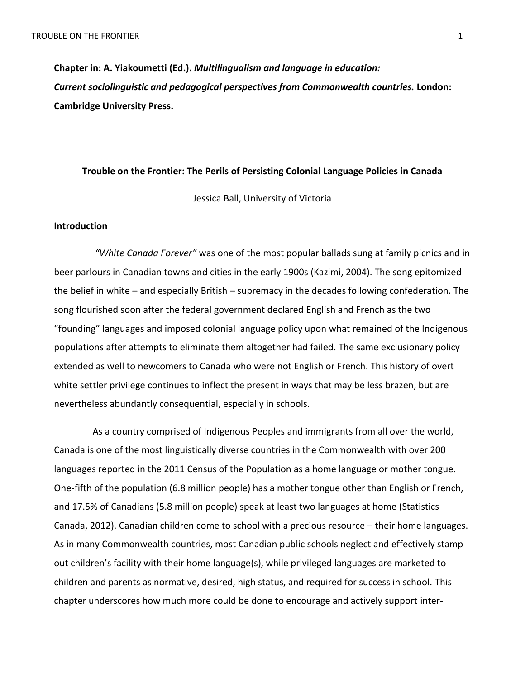**Chapter in: A. Yiakoumetti (Ed.).** *Multilingualism and language in education: Current sociolinguistic and pedagogical perspectives from Commonwealth countries.* **London: Cambridge University Press.** 

#### **Trouble on the Frontier: The Perils of Persisting Colonial Language Policies in Canada**

Jessica Ball, University of Victoria

## **Introduction**

*"White Canada Forever"* was one of the most popular ballads sung at family picnics and in beer parlours in Canadian towns and cities in the early 1900s (Kazimi, 2004). The song epitomized the belief in white – and especially British – supremacy in the decades following confederation. The song flourished soon after the federal government declared English and French as the two "founding" languages and imposed colonial language policy upon what remained of the Indigenous populations after attempts to eliminate them altogether had failed. The same exclusionary policy extended as well to newcomers to Canada who were not English or French. This history of overt white settler privilege continues to inflect the present in ways that may be less brazen, but are nevertheless abundantly consequential, especially in schools.

As a country comprised of Indigenous Peoples and immigrants from all over the world, Canada is one of the most linguistically diverse countries in the Commonwealth with over 200 languages reported in the 2011 Census of the Population as a home language or mother tongue. One-fifth of the population (6.8 million people) has a mother tongue other than English or French, and 17.5% of Canadians (5.8 million people) speak at least two languages at home (Statistics Canada, 2012). Canadian children come to school with a precious resource – their home languages. As in many Commonwealth countries, most Canadian public schools neglect and effectively stamp out children's facility with their home language(s), while privileged languages are marketed to children and parents as normative, desired, high status, and required for success in school. This chapter underscores how much more could be done to encourage and actively support inter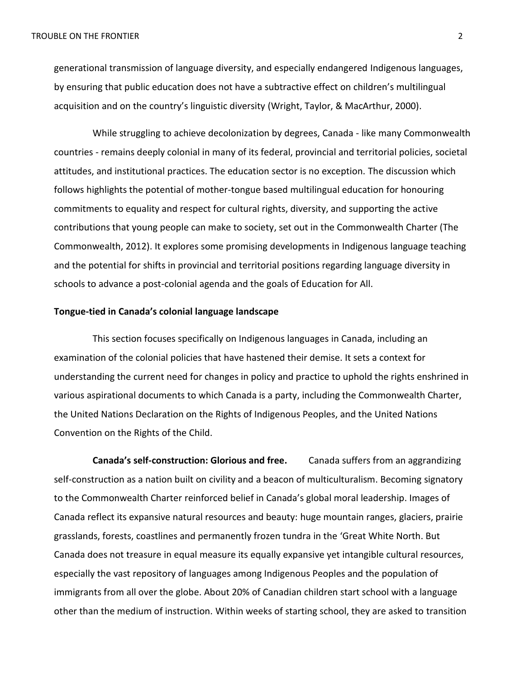generational transmission of language diversity, and especially endangered Indigenous languages, by ensuring that public education does not have a subtractive effect on children's multilingual acquisition and on the country's linguistic diversity (Wright, Taylor, & MacArthur, 2000).

While struggling to achieve decolonization by degrees, Canada - like many Commonwealth countries - remains deeply colonial in many of its federal, provincial and territorial policies, societal attitudes, and institutional practices. The education sector is no exception. The discussion which follows highlights the potential of mother-tongue based multilingual education for honouring commitments to equality and respect for cultural rights, diversity, and supporting the active contributions that young people can make to society, set out in the Commonwealth Charter (The Commonwealth, 2012). It explores some promising developments in Indigenous language teaching and the potential for shifts in provincial and territorial positions regarding language diversity in schools to advance a post-colonial agenda and the goals of Education for All.

#### **Tongue-tied in Canada's colonial language landscape**

This section focuses specifically on Indigenous languages in Canada, including an examination of the colonial policies that have hastened their demise. It sets a context for understanding the current need for changes in policy and practice to uphold the rights enshrined in various aspirational documents to which Canada is a party, including the Commonwealth Charter, the United Nations Declaration on the Rights of Indigenous Peoples, and the United Nations Convention on the Rights of the Child.

**Canada's self-construction: Glorious and free.** Canada suffers from an aggrandizing self-construction as a nation built on civility and a beacon of multiculturalism. Becoming signatory to the Commonwealth Charter reinforced belief in Canada's global moral leadership. Images of Canada reflect its expansive natural resources and beauty: huge mountain ranges, glaciers, prairie grasslands, forests, coastlines and permanently frozen tundra in the 'Great White North. But Canada does not treasure in equal measure its equally expansive yet intangible cultural resources, especially the vast repository of languages among Indigenous Peoples and the population of immigrants from all over the globe. About 20% of Canadian children start school with a language other than the medium of instruction. Within weeks of starting school, they are asked to transition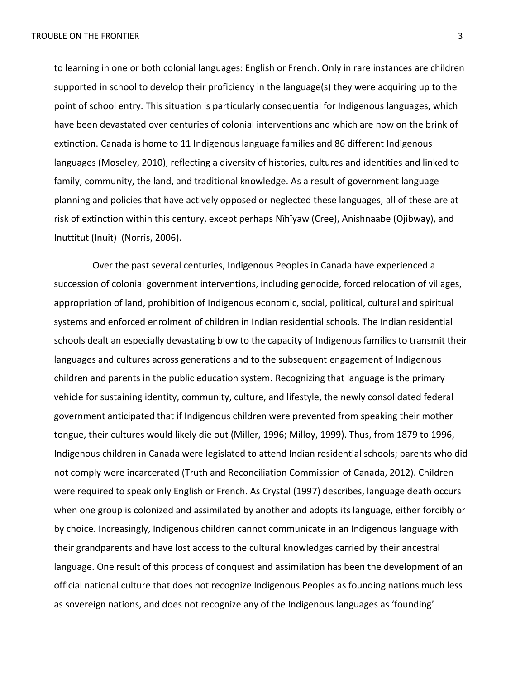to learning in one or both colonial languages: English or French. Only in rare instances are children supported in school to develop their proficiency in the language(s) they were acquiring up to the point of school entry. This situation is particularly consequential for Indigenous languages, which have been devastated over centuries of colonial interventions and which are now on the brink of extinction. Canada is home to 11 Indigenous language families and 86 different Indigenous languages (Moseley, 2010), reflecting a diversity of histories, cultures and identities and linked to family, community, the land, and traditional knowledge. As a result of government language planning and policies that have actively opposed or neglected these languages, all of these are at risk of extinction within this century, except perhaps Nîhîyaw (Cree), Anishnaabe (Ojibway), and Inuttitut (Inuit) (Norris, 2006).

Over the past several centuries, Indigenous Peoples in Canada have experienced a succession of colonial government interventions, including genocide, forced relocation of villages, appropriation of land, prohibition of Indigenous economic, social, political, cultural and spiritual systems and enforced enrolment of children in Indian residential schools. The Indian residential schools dealt an especially devastating blow to the capacity of Indigenous families to transmit their languages and cultures across generations and to the subsequent engagement of Indigenous children and parents in the public education system. Recognizing that language is the primary vehicle for sustaining identity, community, culture, and lifestyle, the newly consolidated federal government anticipated that if Indigenous children were prevented from speaking their mother tongue, their cultures would likely die out (Miller, 1996; Milloy, 1999). Thus, from 1879 to 1996, Indigenous children in Canada were legislated to attend Indian residential schools; parents who did not comply were incarcerated (Truth and Reconciliation Commission of Canada, 2012). Children were required to speak only English or French. As Crystal (1997) describes, language death occurs when one group is colonized and assimilated by another and adopts its language, either forcibly or by choice. Increasingly, Indigenous children cannot communicate in an Indigenous language with their grandparents and have lost access to the cultural knowledges carried by their ancestral language. One result of this process of conquest and assimilation has been the development of an official national culture that does not recognize Indigenous Peoples as founding nations much less as sovereign nations, and does not recognize any of the Indigenous languages as 'founding'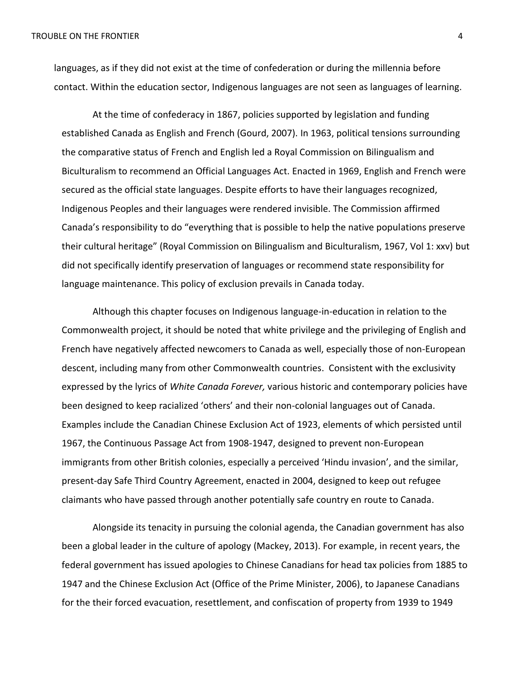languages, as if they did not exist at the time of confederation or during the millennia before contact. Within the education sector, Indigenous languages are not seen as languages of learning.

At the time of confederacy in 1867, policies supported by legislation and funding established Canada as English and French (Gourd, 2007). In 1963, political tensions surrounding the comparative status of French and English led a Royal Commission on Bilingualism and Biculturalism to recommend an Official Languages Act. Enacted in 1969, English and French were secured as the official state languages. Despite efforts to have their languages recognized, Indigenous Peoples and their languages were rendered invisible. The Commission affirmed Canada's responsibility to do "everything that is possible to help the native populations preserve their cultural heritage" (Royal Commission on Bilingualism and Biculturalism, 1967, Vol 1: xxv) but did not specifically identify preservation of languages or recommend state responsibility for language maintenance. This policy of exclusion prevails in Canada today.

Although this chapter focuses on Indigenous language-in-education in relation to the Commonwealth project, it should be noted that white privilege and the privileging of English and French have negatively affected newcomers to Canada as well, especially those of non-European descent, including many from other Commonwealth countries. Consistent with the exclusivity expressed by the lyrics of *White Canada Forever,* various historic and contemporary policies have been designed to keep racialized 'others' and their non-colonial languages out of Canada. Examples include the Canadian Chinese Exclusion Act of 1923, elements of which persisted until 1967, the Continuous Passage Act from 1908-1947, designed to prevent non-European immigrants from other British colonies, especially a perceived 'Hindu invasion', and the similar, present-day Safe Third Country Agreement, enacted in 2004, designed to keep out refugee claimants who have passed through another potentially safe country en route to Canada.

Alongside its tenacity in pursuing the colonial agenda, the Canadian government has also been a global leader in the culture of apology (Mackey, 2013). For example, in recent years, the federal government has issued apologies to Chinese Canadians for head tax policies from 1885 to 1947 and the Chinese Exclusion Act (Office of the Prime Minister, 2006), to Japanese Canadians for the their forced evacuation, resettlement, and confiscation of property from 1939 to 1949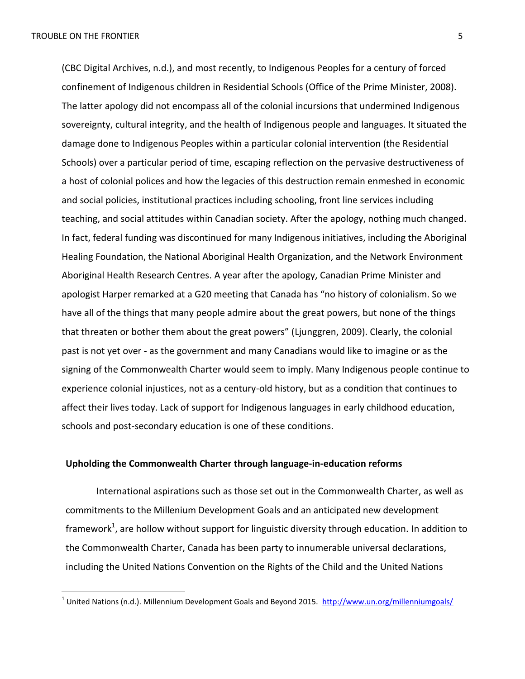l

(CBC Digital Archives, n.d.), and most recently, to Indigenous Peoples for a century of forced confinement of Indigenous children in Residential Schools (Office of the Prime Minister, 2008). The latter apology did not encompass all of the colonial incursions that undermined Indigenous sovereignty, cultural integrity, and the health of Indigenous people and languages. It situated the damage done to Indigenous Peoples within a particular colonial intervention (the Residential Schools) over a particular period of time, escaping reflection on the pervasive destructiveness of a host of colonial polices and how the legacies of this destruction remain enmeshed in economic and social policies, institutional practices including schooling, front line services including teaching, and social attitudes within Canadian society. After the apology, nothing much changed. In fact, federal funding was discontinued for many Indigenous initiatives, including the Aboriginal Healing Foundation, the National Aboriginal Health Organization, and the Network Environment Aboriginal Health Research Centres. A year after the apology, Canadian Prime Minister and apologist Harper remarked at a G20 meeting that Canada has "no history of colonialism. So we have all of the things that many people admire about the great powers, but none of the things that threaten or bother them about the great powers" (Ljunggren, 2009). Clearly, the colonial past is not yet over - as the government and many Canadians would like to imagine or as the signing of the Commonwealth Charter would seem to imply. Many Indigenous people continue to experience colonial injustices, not as a century-old history, but as a condition that continues to affect their lives today. Lack of support for Indigenous languages in early childhood education, schools and post-secondary education is one of these conditions.

# **Upholding the Commonwealth Charter through language-in-education reforms**

International aspirations such as those set out in the Commonwealth Charter, as well as commitments to the Millenium Development Goals and an anticipated new development framework<sup>1</sup>, are hollow without support for linguistic diversity through education. In addition to the Commonwealth Charter, Canada has been party to innumerable universal declarations, including the United Nations Convention on the Rights of the Child and the United Nations

<sup>&</sup>lt;sup>1</sup> United Nations (n.d.). Millennium Development Goals and Beyond 2015. <http://www.un.org/millenniumgoals/>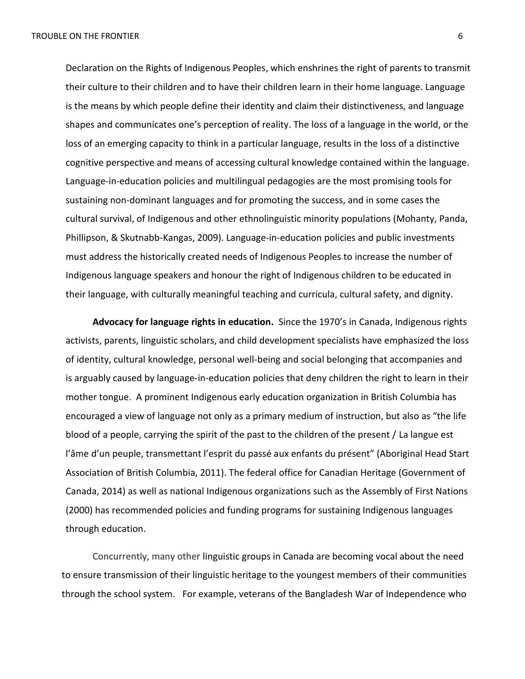Declaration on the Rights of Indigenous Peoples, which enshrines the right of parents to transmit their culture to their children and to have their children learn in their home language. Language is the means by which people define their identity and claim their distinctiveness, and language shapes and communicates one's perception of reality. The loss of a language in the world, or the loss of an emerging capacity to think in a particular language, results in the loss of a distinctive cognitive perspective and means of accessing cultural knowledge contained within the language. Language-in-education policies and multilingual pedagogies are the most promising tools for sustaining non-dominant languages and for promoting the success, and in some cases the cultural survival, of Indigenous and other ethnolinguistic minority populations (Mohanty, Panda, Phillipson, & Skutnabb-Kangas, 2009). Language-in-education policies and public investments must address the historically created needs of Indigenous Peoples to increase the number of Indigenous language speakers and honour the right of Indigenous children to be educated in their language, with culturally meaningful teaching and curricula, cultural safety, and dignity.

**Advocacy for language rights in education.** Since the 1970's in Canada, Indigenous rights activists, parents, linguistic scholars, and child development specialists have emphasized the loss of identity, cultural knowledge, personal well-being and social belonging that accompanies and is arguably caused by language-in-education policies that deny children the right to learn in their mother tongue. A prominent Indigenous early education organization in British Columbia has encouraged a view of language not only as a primary medium of instruction, but also as "the life blood of a people, carrying the spirit of the past to the children of the present / La langue est l'âme d'un peuple, transmettant l'esprit du passé aux enfants du présent" (Aboriginal Head Start Association of British Columbia, 2011). The federal office for Canadian Heritage (Government of Canada, 2014) as well as national Indigenous organizations such as the Assembly of First Nations (2000) has recommended policies and funding programs for sustaining Indigenous languages through education.

Concurrently, many other linguistic groups in Canada are becoming vocal about the need to ensure transmission of their linguistic heritage to the youngest members of their communities through the school system. For example, veterans of the Bangladesh War of Independence who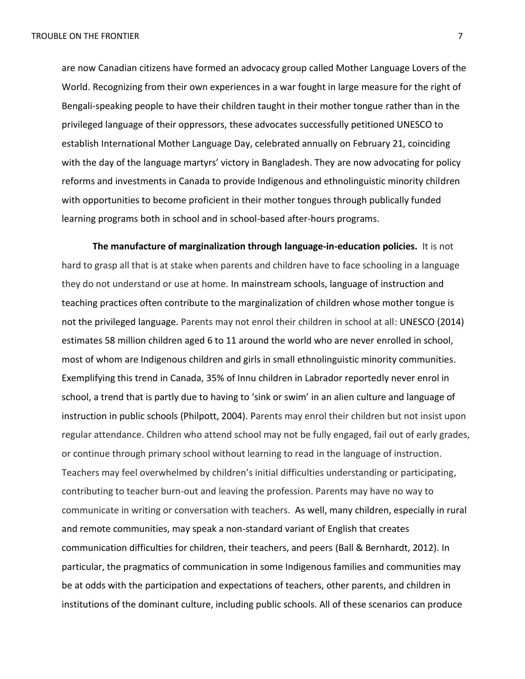are now Canadian citizens have formed an advocacy group called Mother Language Lovers of the World. Recognizing from their own experiences in a war fought in large measure for the right of Bengali-speaking people to have their children taught in their mother tongue rather than in the privileged language of their oppressors, these advocates successfully petitioned UNESCO to establish International Mother Language Day, celebrated annually on February 21, coinciding with the day of the language martyrs' victory in Bangladesh. They are now advocating for policy reforms and investments in Canada to provide Indigenous and ethnolinguistic minority children with opportunities to become proficient in their mother tongues through publically funded learning programs both in school and in school-based after-hours programs.

**The manufacture of marginalization through language-in-education policies.** It is not hard to grasp all that is at stake when parents and children have to face schooling in a language they do not understand or use at home. In mainstream schools, language of instruction and teaching practices often contribute to the marginalization of children whose mother tongue is not the privileged language. Parents may not enrol their children in school at all: UNESCO (2014) estimates 58 million children aged 6 to 11 around the world who are never enrolled in school, most of whom are Indigenous children and girls in small ethnolinguistic minority communities. Exemplifying this trend in Canada, 35% of Innu children in Labrador reportedly never enrol in school, a trend that is partly due to having to 'sink or swim' in an alien culture and language of instruction in public schools (Philpott, 2004). Parents may enrol their children but not insist upon regular attendance. Children who attend school may not be fully engaged, fail out of early grades, or continue through primary school without learning to read in the language of instruction. Teachers may feel overwhelmed by children's initial difficulties understanding or participating, contributing to teacher burn-out and leaving the profession. Parents may have no way to communicate in writing or conversation with teachers. As well, many children, especially in rural and remote communities, may speak a non-standard variant of English that creates communication difficulties for children, their teachers, and peers (Ball & Bernhardt, 2012). In particular, the pragmatics of communication in some Indigenous families and communities may be at odds with the participation and expectations of teachers, other parents, and children in institutions of the dominant culture, including public schools. All of these scenarios can produce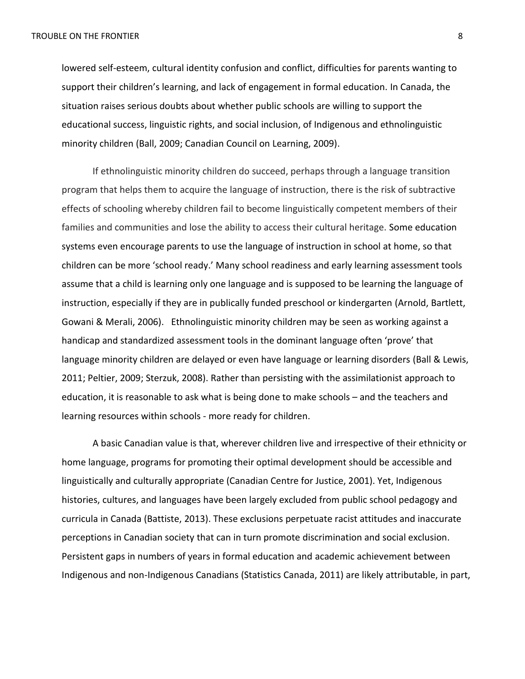lowered self-esteem, cultural identity confusion and conflict, difficulties for parents wanting to support their children's learning, and lack of engagement in formal education. In Canada, the situation raises serious doubts about whether public schools are willing to support the educational success, linguistic rights, and social inclusion, of Indigenous and ethnolinguistic minority children (Ball, 2009; Canadian Council on Learning, 2009).

If ethnolinguistic minority children do succeed, perhaps through a language transition program that helps them to acquire the language of instruction, there is the risk of subtractive effects of schooling whereby children fail to become linguistically competent members of their families and communities and lose the ability to access their cultural heritage. Some education systems even encourage parents to use the language of instruction in school at home, so that children can be more 'school ready.' Many school readiness and early learning assessment tools assume that a child is learning only one language and is supposed to be learning the language of instruction, especially if they are in publically funded preschool or kindergarten (Arnold, Bartlett, Gowani & Merali, 2006). Ethnolinguistic minority children may be seen as working against a handicap and standardized assessment tools in the dominant language often 'prove' that language minority children are delayed or even have language or learning disorders (Ball & Lewis, 2011; Peltier, 2009; Sterzuk, 2008). Rather than persisting with the assimilationist approach to education, it is reasonable to ask what is being done to make schools – and the teachers and learning resources within schools - more ready for children.

A basic Canadian value is that, wherever children live and irrespective of their ethnicity or home language, programs for promoting their optimal development should be accessible and linguistically and culturally appropriate (Canadian Centre for Justice, 2001). Yet, Indigenous histories, cultures, and languages have been largely excluded from public school pedagogy and curricula in Canada (Battiste, 2013). These exclusions perpetuate racist attitudes and inaccurate perceptions in Canadian society that can in turn promote discrimination and social exclusion. Persistent gaps in numbers of years in formal education and academic achievement between Indigenous and non-Indigenous Canadians (Statistics Canada, 2011) are likely attributable, in part,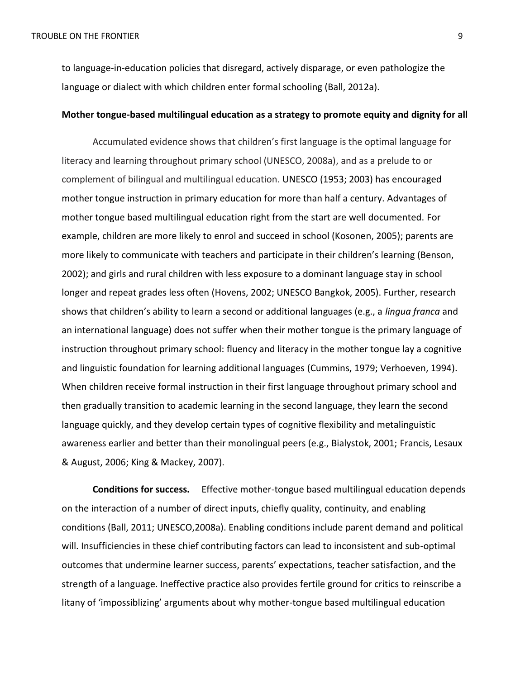to language-in-education policies that disregard, actively disparage, or even pathologize the language or dialect with which children enter formal schooling (Ball, 2012a).

## **Mother tongue-based multilingual education as a strategy to promote equity and dignity for all**

Accumulated evidence shows that children's first language is the optimal language for literacy and learning throughout primary school (UNESCO, 2008a), and as a prelude to or complement of bilingual and multilingual education. UNESCO (1953; 2003) has encouraged mother tongue instruction in primary education for more than half a century. Advantages of mother tongue based multilingual education right from the start are well documented. For example, children are more likely to enrol and succeed in school (Kosonen, 2005); parents are more likely to communicate with teachers and participate in their children's learning (Benson, 2002); and girls and rural children with less exposure to a dominant language stay in school longer and repeat grades less often (Hovens, 2002; UNESCO Bangkok, 2005). Further, research shows that children's ability to learn a second or additional languages (e.g., a *lingua franca* and an international language) does not suffer when their mother tongue is the primary language of instruction throughout primary school: fluency and literacy in the mother tongue lay a cognitive and linguistic foundation for learning additional languages (Cummins, 1979; Verhoeven, 1994). When children receive formal instruction in their first language throughout primary school and then gradually transition to academic learning in the second language, they learn the second language quickly, and they develop certain types of cognitive flexibility and metalinguistic awareness earlier and better than their monolingual peers (e.g., Bialystok, 2001; Francis, Lesaux & August, 2006; King & Mackey, 2007).

**Conditions for success.** Effective mother-tongue based multilingual education depends on the interaction of a number of direct inputs, chiefly quality, continuity, and enabling conditions (Ball, 2011; UNESCO,2008a). Enabling conditions include parent demand and political will. Insufficiencies in these chief contributing factors can lead to inconsistent and sub-optimal outcomes that undermine learner success, parents' expectations, teacher satisfaction, and the strength of a language. Ineffective practice also provides fertile ground for critics to reinscribe a litany of 'impossiblizing' arguments about why mother-tongue based multilingual education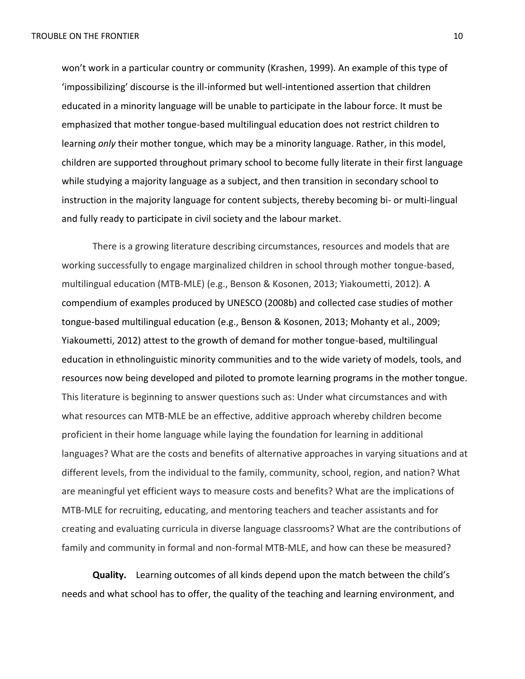won't work in a particular country or community (Krashen, 1999). An example of this type of 'impossibilizing' discourse is the ill-informed but well-intentioned assertion that children educated in a minority language will be unable to participate in the labour force. It must be emphasized that mother tongue-based multilingual education does not restrict children to learning *only* their mother tongue, which may be a minority language. Rather, in this model, children are supported throughout primary school to become fully literate in their first language while studying a majority language as a subject, and then transition in secondary school to instruction in the majority language for content subjects, thereby becoming bi- or multi-lingual and fully ready to participate in civil society and the labour market.

There is a growing literature describing circumstances, resources and models that are working successfully to engage marginalized children in school through mother tongue-based, multilingual education (MTB-MLE) (e.g., Benson & Kosonen, 2013; Yiakoumetti, 2012). A compendium of examples produced by UNESCO (2008b) and collected case studies of mother tongue-based multilingual education (e.g., Benson & Kosonen, 2013; Mohanty et al., 2009; Yiakoumetti, 2012) attest to the growth of demand for mother tongue-based, multilingual education in ethnolinguistic minority communities and to the wide variety of models, tools, and resources now being developed and piloted to promote learning programs in the mother tongue. This literature is beginning to answer questions such as: Under what circumstances and with what resources can MTB-MLE be an effective, additive approach whereby children become proficient in their home language while laying the foundation for learning in additional languages? What are the costs and benefits of alternative approaches in varying situations and at different levels, from the individual to the family, community, school, region, and nation? What are meaningful yet efficient ways to measure costs and benefits? What are the implications of MTB-MLE for recruiting, educating, and mentoring teachers and teacher assistants and for creating and evaluating curricula in diverse language classrooms? What are the contributions of family and community in formal and non-formal MTB-MLE, and how can these be measured?

**Quality.** Learning outcomes of all kinds depend upon the match between the child's needs and what school has to offer, the quality of the teaching and learning environment, and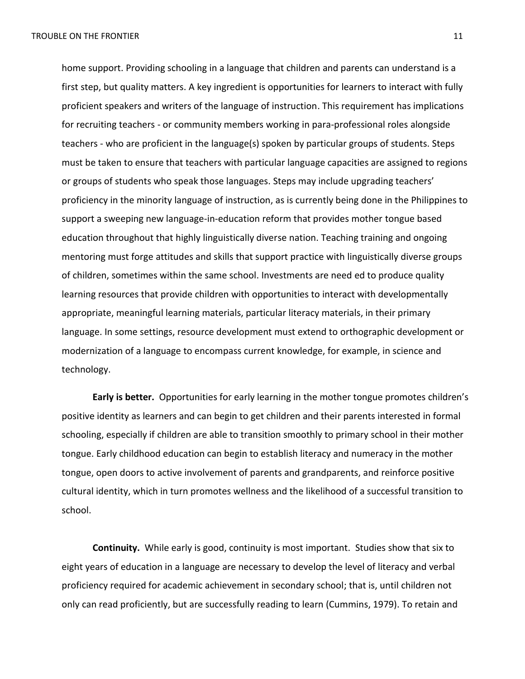home support. Providing schooling in a language that children and parents can understand is a first step, but quality matters. A key ingredient is opportunities for learners to interact with fully proficient speakers and writers of the language of instruction. This requirement has implications for recruiting teachers - or community members working in para-professional roles alongside teachers - who are proficient in the language(s) spoken by particular groups of students. Steps must be taken to ensure that teachers with particular language capacities are assigned to regions or groups of students who speak those languages. Steps may include upgrading teachers' proficiency in the minority language of instruction, as is currently being done in the Philippines to support a sweeping new language-in-education reform that provides mother tongue based education throughout that highly linguistically diverse nation. Teaching training and ongoing mentoring must forge attitudes and skills that support practice with linguistically diverse groups of children, sometimes within the same school. Investments are need ed to produce quality learning resources that provide children with opportunities to interact with developmentally appropriate, meaningful learning materials, particular literacy materials, in their primary language. In some settings, resource development must extend to orthographic development or modernization of a language to encompass current knowledge, for example, in science and technology.

**Early is better.** Opportunities for early learning in the mother tongue promotes children's positive identity as learners and can begin to get children and their parents interested in formal schooling, especially if children are able to transition smoothly to primary school in their mother tongue. Early childhood education can begin to establish literacy and numeracy in the mother tongue, open doors to active involvement of parents and grandparents, and reinforce positive cultural identity, which in turn promotes wellness and the likelihood of a successful transition to school.

**Continuity.** While early is good, continuity is most important. Studies show that six to eight years of education in a language are necessary to develop the level of literacy and verbal proficiency required for academic achievement in secondary school; that is, until children not only can read proficiently, but are successfully reading to learn (Cummins, 1979). To retain and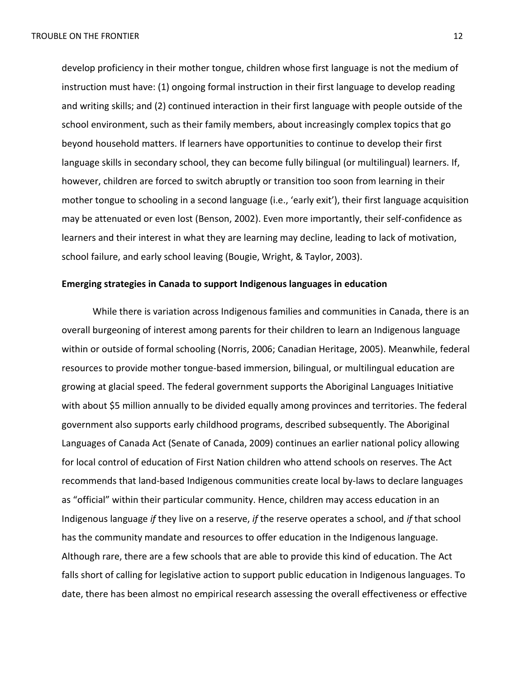develop proficiency in their mother tongue, children whose first language is not the medium of instruction must have: (1) ongoing formal instruction in their first language to develop reading and writing skills; and (2) continued interaction in their first language with people outside of the school environment, such as their family members, about increasingly complex topics that go beyond household matters. If learners have opportunities to continue to develop their first language skills in secondary school, they can become fully bilingual (or multilingual) learners. If, however, children are forced to switch abruptly or transition too soon from learning in their mother tongue to schooling in a second language (i.e., 'early exit'), their first language acquisition may be attenuated or even lost (Benson, 2002). Even more importantly, their self-confidence as learners and their interest in what they are learning may decline, leading to lack of motivation, school failure, and early school leaving (Bougie, Wright, & Taylor, 2003).

## **Emerging strategies in Canada to support Indigenous languages in education**

While there is variation across Indigenous families and communities in Canada, there is an overall burgeoning of interest among parents for their children to learn an Indigenous language within or outside of formal schooling (Norris, 2006; Canadian Heritage, 2005). Meanwhile, federal resources to provide mother tongue-based immersion, bilingual, or multilingual education are growing at glacial speed. The federal government supports the Aboriginal Languages Initiative with about \$5 million annually to be divided equally among provinces and territories. The federal government also supports early childhood programs, described subsequently. The Aboriginal Languages of Canada Act (Senate of Canada, 2009) continues an earlier national policy allowing for local control of education of First Nation children who attend schools on reserves. The Act recommends that land-based Indigenous communities create local by-laws to declare languages as "official" within their particular community. Hence, children may access education in an Indigenous language *if* they live on a reserve, *if* the reserve operates a school, and *if* that school has the community mandate and resources to offer education in the Indigenous language. Although rare, there are a few schools that are able to provide this kind of education. The Act falls short of calling for legislative action to support public education in Indigenous languages. To date, there has been almost no empirical research assessing the overall effectiveness or effective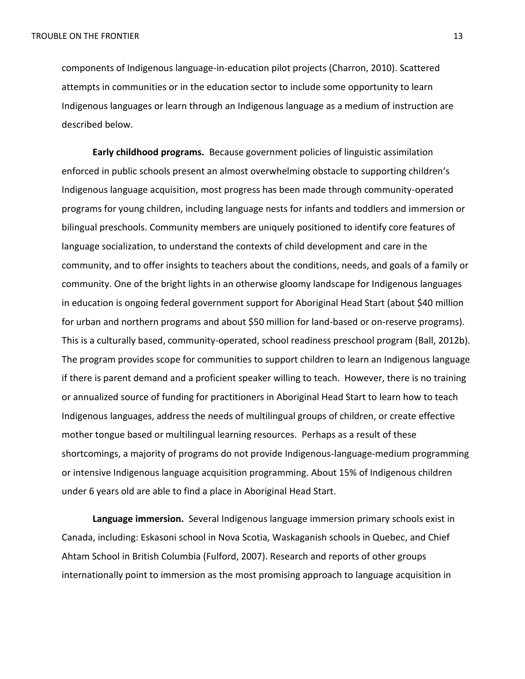components of Indigenous language-in-education pilot projects (Charron, 2010). Scattered attempts in communities or in the education sector to include some opportunity to learn Indigenous languages or learn through an Indigenous language as a medium of instruction are described below.

**Early childhood programs.** Because government policies of linguistic assimilation enforced in public schools present an almost overwhelming obstacle to supporting children's Indigenous language acquisition, most progress has been made through community-operated programs for young children, including language nests for infants and toddlers and immersion or bilingual preschools. Community members are uniquely positioned to identify core features of language socialization, to understand the contexts of child development and care in the community, and to offer insights to teachers about the conditions, needs, and goals of a family or community. One of the bright lights in an otherwise gloomy landscape for Indigenous languages in education is ongoing federal government support for Aboriginal Head Start (about \$40 million for urban and northern programs and about \$50 million for land-based or on-reserve programs). This is a culturally based, community-operated, school readiness preschool program (Ball, 2012b). The program provides scope for communities to support children to learn an Indigenous language if there is parent demand and a proficient speaker willing to teach. However, there is no training or annualized source of funding for practitioners in Aboriginal Head Start to learn how to teach Indigenous languages, address the needs of multilingual groups of children, or create effective mother tongue based or multilingual learning resources. Perhaps as a result of these shortcomings, a majority of programs do not provide Indigenous-language-medium programming or intensive Indigenous language acquisition programming. About 15% of Indigenous children under 6 years old are able to find a place in Aboriginal Head Start.

**Language immersion.** Several Indigenous language immersion primary schools exist in Canada, including: Eskasoni school in Nova Scotia, Waskaganish schools in Quebec, and Chief Ahtam School in British Columbia (Fulford, 2007). Research and reports of other groups internationally point to immersion as the most promising approach to language acquisition in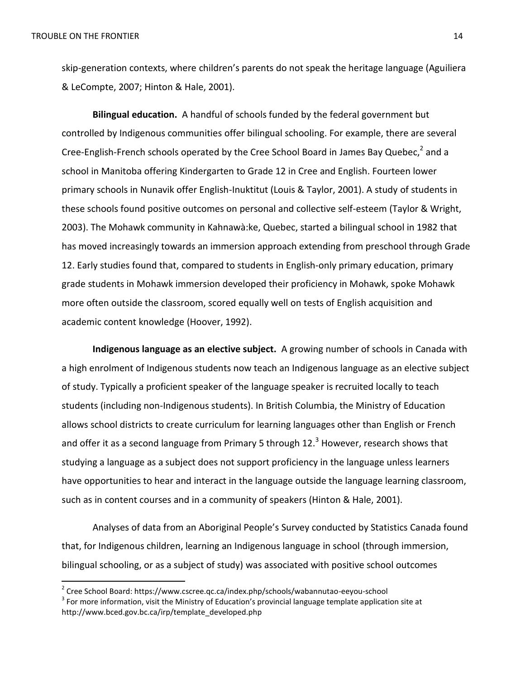$\overline{\phantom{a}}$ 

skip-generation contexts, where children's parents do not speak the heritage language (Aguiliera & LeCompte, 2007; Hinton & Hale, 2001).

**Bilingual education.** A handful of schools funded by the federal government but controlled by Indigenous communities offer bilingual schooling. For example, there are several Cree-English-French schools operated by the Cree School Board in James Bay Quebec,<sup>2</sup> and a school in Manitoba offering Kindergarten to Grade 12 in Cree and English. Fourteen lower primary schools in Nunavik offer English-Inuktitut (Louis & Taylor, 2001). A study of students in these schools found positive outcomes on personal and collective self-esteem (Taylor & Wright, 2003). The Mohawk community in Kahnawà:ke, Quebec, started a bilingual school in 1982 that has moved increasingly towards an immersion approach extending from preschool through Grade 12. Early studies found that, compared to students in English-only primary education, primary grade students in Mohawk immersion developed their proficiency in Mohawk, spoke Mohawk more often outside the classroom, scored equally well on tests of English acquisition and academic content knowledge (Hoover, 1992).

**Indigenous language as an elective subject.** A growing number of schools in Canada with a high enrolment of Indigenous students now teach an Indigenous language as an elective subject of study. Typically a proficient speaker of the language speaker is recruited locally to teach students (including non-Indigenous students). In British Columbia, the Ministry of Education allows school districts to create curriculum for learning languages other than English or French and offer it as a second language from Primary 5 through  $12.^3$  However, research shows that studying a language as a subject does not support proficiency in the language unless learners have opportunities to hear and interact in the language outside the language learning classroom, such as in content courses and in a community of speakers (Hinton & Hale, 2001).

Analyses of data from an Aboriginal People's Survey conducted by Statistics Canada found that, for Indigenous children, learning an Indigenous language in school (through immersion, bilingual schooling, or as a subject of study) was associated with positive school outcomes

<sup>&</sup>lt;sup>2</sup> Cree School Board: https://www.cscree.qc.ca/index.php/schools/wabannutao-eeyou-school

 $3$  For more information, visit the Ministry of Education's provincial language template application site at http://www.bced.gov.bc.ca/irp/template\_developed.php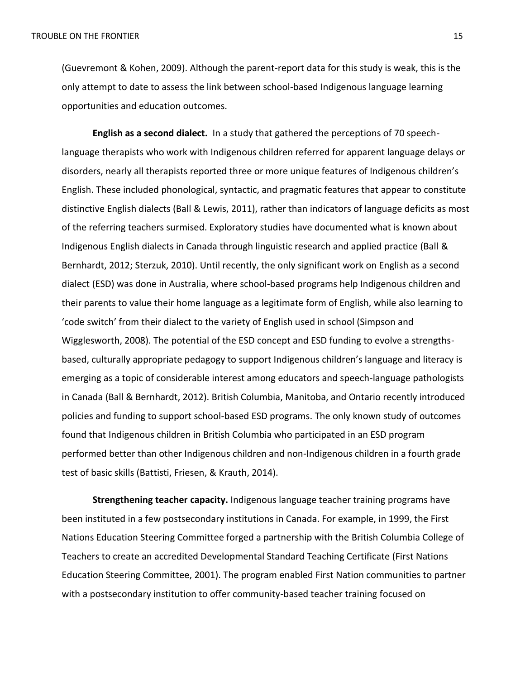(Guevremont & Kohen, 2009). Although the parent-report data for this study is weak, this is the only attempt to date to assess the link between school-based Indigenous language learning opportunities and education outcomes.

**English as a second dialect.** In a study that gathered the perceptions of 70 speechlanguage therapists who work with Indigenous children referred for apparent language delays or disorders, nearly all therapists reported three or more unique features of Indigenous children's English. These included phonological, syntactic, and pragmatic features that appear to constitute distinctive English dialects (Ball & Lewis, 2011), rather than indicators of language deficits as most of the referring teachers surmised. Exploratory studies have documented what is known about Indigenous English dialects in Canada through linguistic research and applied practice (Ball & Bernhardt, 2012; Sterzuk, 2010). Until recently, the only significant work on English as a second dialect (ESD) was done in Australia, where school-based programs help Indigenous children and their parents to value their home language as a legitimate form of English, while also learning to 'code switch' from their dialect to the variety of English used in school (Simpson and Wigglesworth, 2008). The potential of the ESD concept and ESD funding to evolve a strengthsbased, culturally appropriate pedagogy to support Indigenous children's language and literacy is emerging as a topic of considerable interest among educators and speech-language pathologists in Canada (Ball & Bernhardt, 2012). British Columbia, Manitoba, and Ontario recently introduced policies and funding to support school-based ESD programs. The only known study of outcomes found that Indigenous children in British Columbia who participated in an ESD program performed better than other Indigenous children and non-Indigenous children in a fourth grade test of basic skills (Battisti, Friesen, & Krauth, 2014).

**Strengthening teacher capacity.** Indigenous language teacher training programs have been instituted in a few postsecondary institutions in Canada. For example, in 1999, the First Nations Education Steering Committee forged a partnership with the British Columbia College of Teachers to create an accredited Developmental Standard Teaching Certificate (First Nations Education Steering Committee, 2001). The program enabled First Nation communities to partner with a postsecondary institution to offer community-based teacher training focused on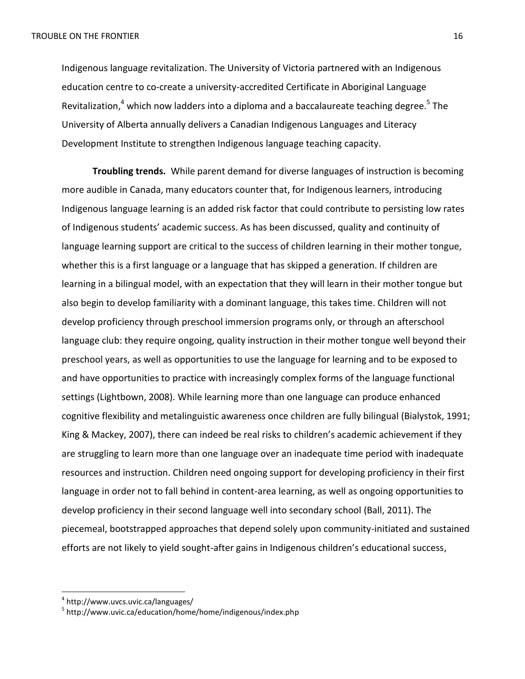Indigenous language revitalization. The University of Victoria partnered with an Indigenous education centre to co-create a university-accredited Certificate in Aboriginal Language Revitalization,<sup>4</sup> which now ladders into a diploma and a baccalaureate teaching degree.<sup>5</sup> The University of Alberta annually delivers a Canadian Indigenous Languages and Literacy Development Institute to strengthen Indigenous language teaching capacity.

**Troubling trends.** While parent demand for diverse languages of instruction is becoming more audible in Canada, many educators counter that, for Indigenous learners, introducing Indigenous language learning is an added risk factor that could contribute to persisting low rates of Indigenous students' academic success. As has been discussed, quality and continuity of language learning support are critical to the success of children learning in their mother tongue, whether this is a first language or a language that has skipped a generation. If children are learning in a bilingual model, with an expectation that they will learn in their mother tongue but also begin to develop familiarity with a dominant language, this takes time. Children will not develop proficiency through preschool immersion programs only, or through an afterschool language club: they require ongoing, quality instruction in their mother tongue well beyond their preschool years, as well as opportunities to use the language for learning and to be exposed to and have opportunities to practice with increasingly complex forms of the language functional settings (Lightbown, 2008). While learning more than one language can produce enhanced cognitive flexibility and metalinguistic awareness once children are fully bilingual (Bialystok, 1991; King & Mackey, 2007), there can indeed be real risks to children's academic achievement if they are struggling to learn more than one language over an inadequate time period with inadequate resources and instruction. Children need ongoing support for developing proficiency in their first language in order not to fall behind in content-area learning, as well as ongoing opportunities to develop proficiency in their second language well into secondary school (Ball, 2011). The piecemeal, bootstrapped approaches that depend solely upon community-initiated and sustained efforts are not likely to yield sought-after gains in Indigenous children's educational success,

l

<sup>4</sup> http://www.uvcs.uvic.ca/languages/

<sup>5</sup> http://www.uvic.ca/education/home/home/indigenous/index.php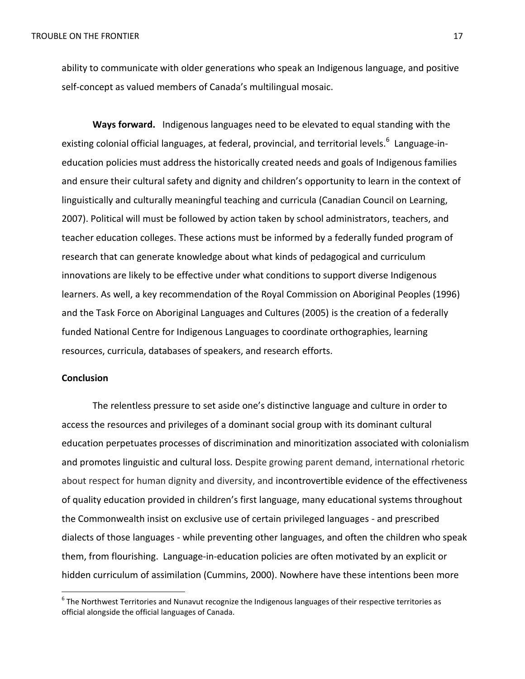ability to communicate with older generations who speak an Indigenous language, and positive self-concept as valued members of Canada's multilingual mosaic.

**Ways forward.** Indigenous languages need to be elevated to equal standing with the existing colonial official languages, at federal, provincial, and territorial levels.<sup>6</sup> Language-ineducation policies must address the historically created needs and goals of Indigenous families and ensure their cultural safety and dignity and children's opportunity to learn in the context of linguistically and culturally meaningful teaching and curricula (Canadian Council on Learning, 2007). Political will must be followed by action taken by school administrators, teachers, and teacher education colleges. These actions must be informed by a federally funded program of research that can generate knowledge about what kinds of pedagogical and curriculum innovations are likely to be effective under what conditions to support diverse Indigenous learners. As well, a key recommendation of the Royal Commission on Aboriginal Peoples (1996) and the Task Force on Aboriginal Languages and Cultures (2005) is the creation of a federally funded National Centre for Indigenous Languages to coordinate orthographies, learning resources, curricula, databases of speakers, and research efforts.

## **Conclusion**

l

The relentless pressure to set aside one's distinctive language and culture in order to access the resources and privileges of a dominant social group with its dominant cultural education perpetuates processes of discrimination and minoritization associated with colonialism and promotes linguistic and cultural loss. Despite growing parent demand, international rhetoric about respect for human dignity and diversity, and incontrovertible evidence of the effectiveness of quality education provided in children's first language, many educational systems throughout the Commonwealth insist on exclusive use of certain privileged languages - and prescribed dialects of those languages - while preventing other languages, and often the children who speak them, from flourishing. Language-in-education policies are often motivated by an explicit or hidden curriculum of assimilation (Cummins, 2000). Nowhere have these intentions been more

 $^6$  The Northwest Territories and Nunavut recognize the Indigenous languages of their respective territories as official alongside the official languages of Canada.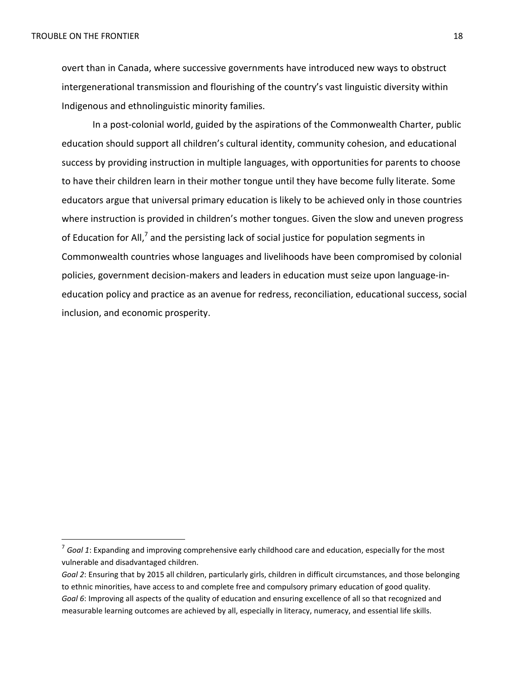$\overline{\phantom{a}}$ 

overt than in Canada, where successive governments have introduced new ways to obstruct intergenerational transmission and flourishing of the country's vast linguistic diversity within Indigenous and ethnolinguistic minority families.

In a post-colonial world, guided by the aspirations of the Commonwealth Charter, public education should support all children's cultural identity, community cohesion, and educational success by providing instruction in multiple languages, with opportunities for parents to choose to have their children learn in their mother tongue until they have become fully literate. Some educators argue that universal primary education is likely to be achieved only in those countries where instruction is provided in children's mother tongues. Given the slow and uneven progress of Education for All,<sup>7</sup> and the persisting lack of social justice for population segments in Commonwealth countries whose languages and livelihoods have been compromised by colonial policies, government decision-makers and leaders in education must seize upon language-ineducation policy and practice as an avenue for redress, reconciliation, educational success, social inclusion, and economic prosperity.

<sup>7</sup> *Goal 1*: Expanding and improving comprehensive early childhood care and education, especially for the most vulnerable and disadvantaged children.

*Goal 2*: Ensuring that by 2015 all children, particularly girls, children in difficult circumstances, and those belonging to ethnic minorities, have access to and complete free and compulsory primary education of good quality. *Goal 6*: Improving all aspects of the quality of education and ensuring excellence of all so that recognized and measurable learning outcomes are achieved by all, especially in literacy, numeracy, and essential life skills.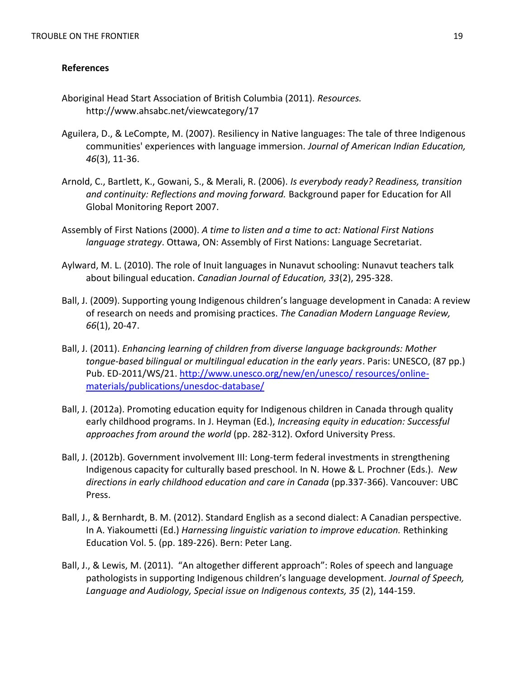# **References**

- Aboriginal Head Start Association of British Columbia (2011). *Resources.*  <http://www.ahsabc.net/viewcategory/17>
- Aguilera, D., & LeCompte, M. (2007). Resiliency in Native languages: The tale of three Indigenous communities' experiences with language immersion. *Journal of American Indian Education, 46*(3), 11-36.
- Arnold, C., Bartlett, K., Gowani, S., & Merali, R. (2006). *Is everybody ready? Readiness, transition and continuity: Reflections and moving forward.* Background paper for Education for All Global Monitoring Report 2007.
- Assembly of First Nations (2000). *A time to listen and a time to act: National First Nations language strategy*. Ottawa, ON: Assembly of First Nations: Language Secretariat.
- Aylward, M. L. (2010). The role of Inuit languages in Nunavut schooling: Nunavut teachers talk about bilingual education. *Canadian Journal of Education, 33*(2), 295-328.
- Ball, J. (2009). Supporting young Indigenous children's language development in Canada: A review of research on needs and promising practices. *The Canadian Modern Language Review, 66*(1), 20-47.
- Ball, J. (2011). *Enhancing learning of children from diverse language backgrounds: Mother tongue-based bilingual or multilingual education in the early years*. Paris: UNESCO, (87 pp.) Pub. ED-2011/WS/21. [http://www.unesco.org/new/en/unesco/ resources/online](http://www.unesco.org/new/en/unesco/%20resources/online-materials/publications/unesdoc-database/)[materials/publications/unesdoc-database/](http://www.unesco.org/new/en/unesco/%20resources/online-materials/publications/unesdoc-database/)
- Ball, J. (2012a). Promoting education equity for Indigenous children in Canada through quality early childhood programs. In J. Heyman (Ed.), *Increasing equity in education: Successful approaches from around the world* (pp. 282-312). Oxford University Press.
- Ball, J. (2012b). Government involvement III: Long-term federal investments in strengthening Indigenous capacity for culturally based preschool. In N. Howe & L. Prochner (Eds.). *New directions in early childhood education and care in Canada* (pp.337-366). Vancouver: UBC Press.
- Ball, J., & Bernhardt, B. M. (2012). Standard English as a second dialect: A Canadian perspective. In A. Yiakoumetti (Ed.) *Harnessing linguistic variation to improve education.* Rethinking Education Vol. 5. (pp. 189-226). Bern: Peter Lang.
- Ball, J., & Lewis, M. (2011). "An altogether different approach": Roles of speech and language pathologists in supporting Indigenous children's language development. *Journal of Speech, Language and Audiology, Special issue on Indigenous contexts, 35* (2), 144-159.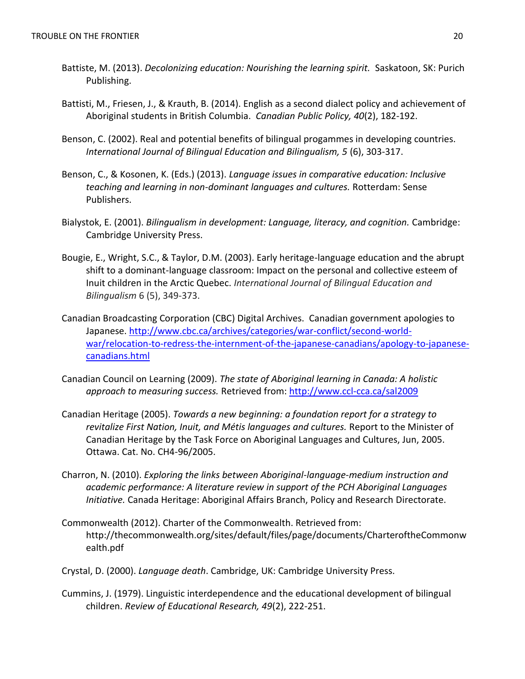- Battiste, M. (2013). *Decolonizing education: Nourishing the learning spirit.* Saskatoon, SK: Purich Publishing.
- Battisti, M., Friesen, J., & Krauth, B. (2014). English as a second dialect policy and achievement of Aboriginal students in British Columbia. *Canadian Public Policy, 40*(2), 182-192.
- Benson, C. (2002). Real and potential benefits of bilingual progammes in developing countries. *International Journal of Bilingual Education and Bilingualism, 5* (6), 303-317.
- Benson, C., & Kosonen, K. (Eds.) (2013). *Language issues in comparative education: Inclusive teaching and learning in non-dominant languages and cultures.* Rotterdam: Sense Publishers.
- Bialystok, E. (2001). *Bilingualism in development: Language, literacy, and cognition.* Cambridge: Cambridge University Press.
- Bougie, E., Wright, S.C., & Taylor, D.M. (2003). Early heritage-language education and the abrupt shift to a dominant-language classroom: Impact on the personal and collective esteem of Inuit children in the Arctic Quebec. *International Journal of Bilingual Education and Bilingualism* 6 (5), 349-373.
- Canadian Broadcasting Corporation (CBC) Digital Archives. Canadian government apologies to Japanese. [http://www.cbc.ca/archives/categories/war-conflict/second-world](http://www.cbc.ca/archives/categories/war-conflict/second-world-war/relocation-to-redress-the-internment-of-the-japanese-canadians/apology-to-japanese-canadians.html)[war/relocation-to-redress-the-internment-of-the-japanese-canadians/apology-to-japanese](http://www.cbc.ca/archives/categories/war-conflict/second-world-war/relocation-to-redress-the-internment-of-the-japanese-canadians/apology-to-japanese-canadians.html)[canadians.html](http://www.cbc.ca/archives/categories/war-conflict/second-world-war/relocation-to-redress-the-internment-of-the-japanese-canadians/apology-to-japanese-canadians.html)
- Canadian Council on Learning (2009). *The state of Aboriginal learning in Canada: A holistic approach to measuring success.* Retrieved from:<http://www.ccl-cca.ca/sal2009>
- Canadian Heritage (2005). *Towards a new beginning: a foundation report for a strategy to revitalize First Nation, Inuit, and Métis languages and cultures.* Report to the Minister of Canadian Heritage by the Task Force on Aboriginal Languages and Cultures, Jun, 2005. Ottawa. Cat. No. CH4-96/2005.
- Charron, N. (2010). *Exploring the links between Aboriginal-language-medium instruction and academic performance: A literature review in support of the PCH Aboriginal Languages Initiative.* Canada Heritage: Aboriginal Affairs Branch, Policy and Research Directorate.
- Commonwealth (2012). Charter of the Commonwealth. Retrieved from: http://thecommonwealth.org/sites/default/files/page/documents/CharteroftheCommonw ealth.pdf
- Crystal, D. (2000). *Language death*. Cambridge, UK: Cambridge University Press.
- Cummins, J. (1979). Linguistic interdependence and the educational development of bilingual children. *Review of Educational Research, 49*(2), 222-251.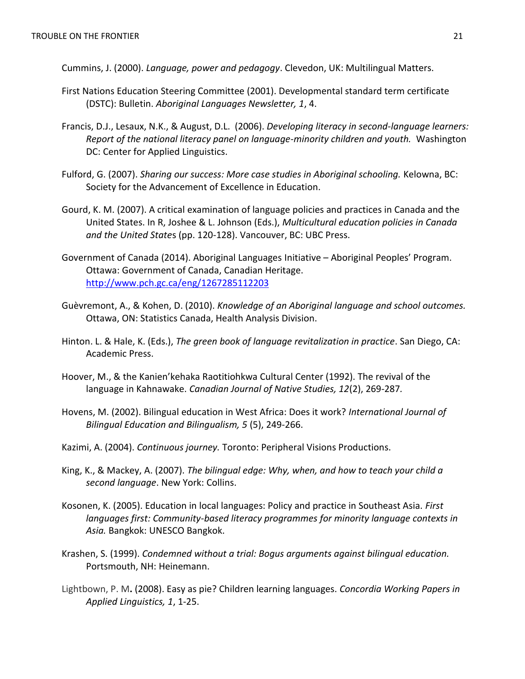Cummins, J. (2000). *Language, power and pedagogy*. Clevedon, UK: Multilingual Matters.

- First Nations Education Steering Committee (2001). Developmental standard term certificate (DSTC): Bulletin. *Aboriginal Languages Newsletter, 1*, 4.
- Francis, D.J., Lesaux, N.K., & August, D.L. (2006). *Developing literacy in second-language learners: Report of the national literacy panel on language-minority children and youth.* Washington DC: Center for Applied Linguistics.
- Fulford, G. (2007). *Sharing our success: More case studies in Aboriginal schooling.* Kelowna, BC: Society for the Advancement of Excellence in Education.
- Gourd, K. M. (2007). A critical examination of language policies and practices in Canada and the United States. In R, Joshee & L. Johnson (Eds.), *Multicultural education policies in Canada and the United State*s (pp. 120-128). Vancouver, BC: UBC Press.
- Government of Canada (2014). Aboriginal Languages Initiative Aboriginal Peoples' Program. Ottawa: Government of Canada, Canadian Heritage. <http://www.pch.gc.ca/eng/1267285112203>
- Guèvremont, A., & Kohen, D. (2010). *Knowledge of an Aboriginal language and school outcomes.* Ottawa, ON: Statistics Canada, Health Analysis Division.
- Hinton. L. & Hale, K. (Eds.), *The green book of language revitalization in practice*. San Diego, CA: Academic Press.
- Hoover, M., & the Kanien'kehaka Raotitiohkwa Cultural Center (1992). The revival of the language in Kahnawake. *Canadian Journal of Native Studies, 12*(2), 269-287*.*
- Hovens, M. (2002). Bilingual education in West Africa: Does it work? *International Journal of Bilingual Education and Bilingualism, 5* (5), 249-266.
- Kazimi, A. (2004). *Continuous journey.* Toronto: Peripheral Visions Productions.
- King, K., & Mackey, A. (2007). *The bilingual edge: Why, when, and how to teach your child a second language*. New York: Collins.
- Kosonen, K. (2005). Education in local languages: Policy and practice in Southeast Asia. *First languages first: Community-based literacy programmes for minority language contexts in Asia.* Bangkok: UNESCO Bangkok.
- Krashen, S. (1999). *Condemned without a trial: Bogus arguments against bilingual education.* Portsmouth, NH: Heinemann.
- Lightbown, P. M**.** (2008). Easy as pie? Children learning languages. *Concordia Working Papers in Applied Linguistics, 1*, 1-25.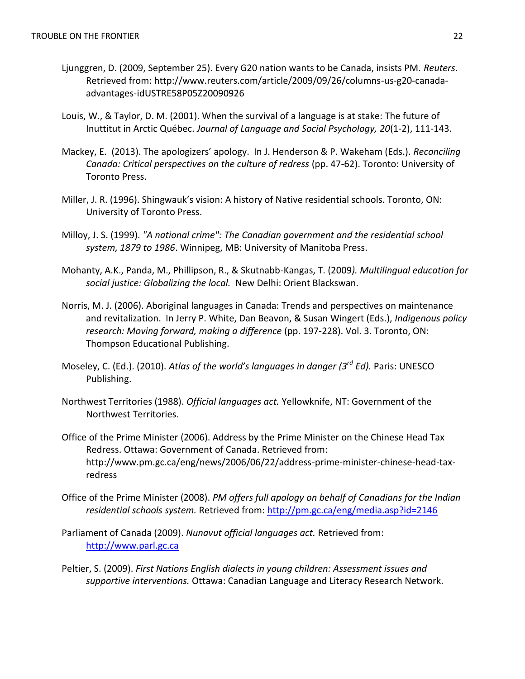- Ljunggren, D. (2009, September 25). Every G20 nation wants to be Canada, insists PM. *Reuters*. Retrieved from: http://www.reuters.com/article/2009/09/26/columns-us-g20-canadaadvantages-idUSTRE58P05Z20090926
- Louis, W., & Taylor, D. M. (2001). When the survival of a language is at stake: The future of Inuttitut in Arctic Québec. *Journal of Language and Social Psychology, 20*(1-2), 111-143.
- Mackey, E. (2013). The apologizers' apology. In J. Henderson & P. Wakeham (Eds.). *Reconciling Canada: Critical perspectives on the culture of redress* (pp. 47-62). Toronto: University of Toronto Press.
- Miller, J. R. (1996). Shingwauk's vision: A history of Native residential schools. Toronto, ON: University of Toronto Press.
- Milloy, J. S. (1999). *"A national crime": The Canadian government and the residential school system, 1879 to 1986*. Winnipeg, MB: University of Manitoba Press.
- Mohanty, A.K., Panda, M., Phillipson, R., & Skutnabb-Kangas, T. (2009*). Multilingual education for social justice: Globalizing the local.* New Delhi: Orient Blackswan.
- Norris, M. J. (2006). Aboriginal languages in Canada: Trends and perspectives on maintenance and revitalization. In Jerry P. White, Dan Beavon, & Susan Wingert (Eds.), *Indigenous policy research: Moving forward, making a difference* (pp. 197-228). Vol. 3. Toronto, ON: Thompson Educational Publishing.
- Moseley, C. (Ed.). (2010). *Atlas of the world's languages in danger (3rd Ed).* Paris: UNESCO Publishing.
- Northwest Territories (1988). *Official languages act.* Yellowknife, NT: Government of the Northwest Territories.
- [Office of the Prime Minister](http://en.wikipedia.org/wiki/Office_of_the_Prime_Minister_(Canada)) (2006). Address by the Prime Minister on the Chinese Head Tax Redress. Ottawa: Government of Canada. Retrieved from: http://www.pm.gc.ca/eng/news/2006/06/22/address-prime-minister-chinese-head-taxredress
- Office of the Prime Minister (2008). *PM offers full apology on behalf of Canadians for the Indian residential schools system.* Retrieved from:<http://pm.gc.ca/eng/media.asp?id=2146>
- Parliament of Canada (2009). *Nunavut official languages act.* Retrieved from: [http://www.parl.gc.ca](http://www.parl.gc.ca/)
- Peltier, S. (2009). *First Nations English dialects in young children: Assessment issues and supportive interventions.* Ottawa: Canadian Language and Literacy Research Network.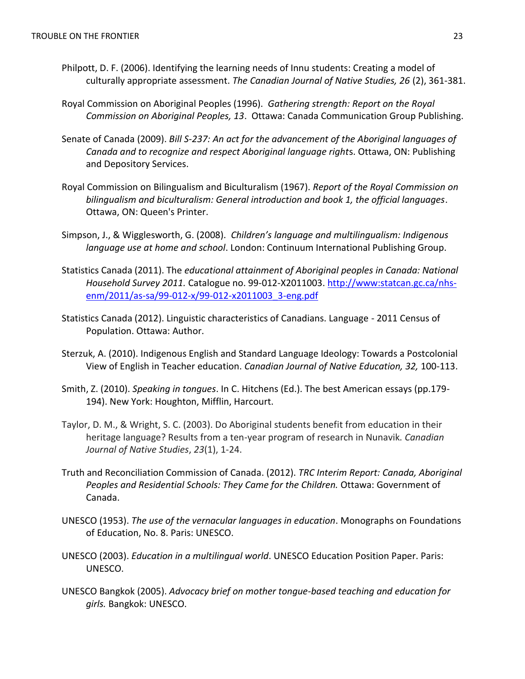- Philpott, D. F. (2006). Identifying the learning needs of Innu students: Creating a model of culturally appropriate assessment. *The Canadian Journal of Native Studies, 26* (2), 361-381.
- Royal Commission on Aboriginal Peoples (1996). *Gathering strength: Report on the Royal Commission on Aboriginal Peoples, 13*. Ottawa: Canada Communication Group Publishing.
- Senate of Canada (2009). *Bill S-237: An act for the advancement of the Aboriginal languages of Canada and to recognize and respect Aboriginal language right*s. Ottawa, ON: Publishing and Depository Services.
- Royal Commission on Bilingualism and Biculturalism (1967). *Report of the Royal Commission on bilingualism and biculturalism: General introduction and book 1, the official languages*. Ottawa, ON: Queen's Printer.
- Simpson, J., & Wigglesworth, G. (2008). *Children's language and multilingualism: Indigenous language use at home and school*. London: Continuum International Publishing Group.
- Statistics Canada (2011). The *educational attainment of Aboriginal peoples in Canada: National Household Survey 2011.* Catalogue no. 99-012-X2011003. [http://www:statcan.gc.ca/nhs](http://www:statcan.gc.ca/nhs-enm/2011/as-sa/99-012-x/99-012-x2011003_3-eng.pdf)[enm/2011/as-sa/99-012-x/99-012-x2011003\\_3-eng.pdf](http://www:statcan.gc.ca/nhs-enm/2011/as-sa/99-012-x/99-012-x2011003_3-eng.pdf)
- Statistics Canada (2012). Linguistic characteristics of Canadians. Language 2011 Census of Population. Ottawa: Author.
- Sterzuk, A. (2010). Indigenous English and Standard Language Ideology: Towards a Postcolonial View of English in Teacher education. *Canadian Journal of Native Education, 32,* 100-113.
- Smith, Z. (2010). *Speaking in tongues*. In C. Hitchens (Ed.). The best American essays (pp.179- 194). New York: Houghton, Mifflin, Harcourt.
- Taylor, D. M., & Wright, S. C. (2003). Do Aboriginal students benefit from education in their heritage language? Results from a ten-year program of research in Nunavik. *Canadian Journal of Native Studies*, *23*(1), 1-24.
- Truth and Reconciliation Commission of Canada. (2012). *TRC Interim Report: Canada, Aboriginal Peoples and Residential Schools: They Came for the Children.* Ottawa: Government of Canada.
- UNESCO (1953). *The use of the vernacular languages in education*. Monographs on Foundations of Education, No. 8. Paris: UNESCO.
- UNESCO (2003). *Education in a multilingual world*. UNESCO Education Position Paper. Paris: UNESCO.
- UNESCO Bangkok (2005). *Advocacy brief on mother tongue-based teaching and education for girls.* Bangkok: UNESCO.